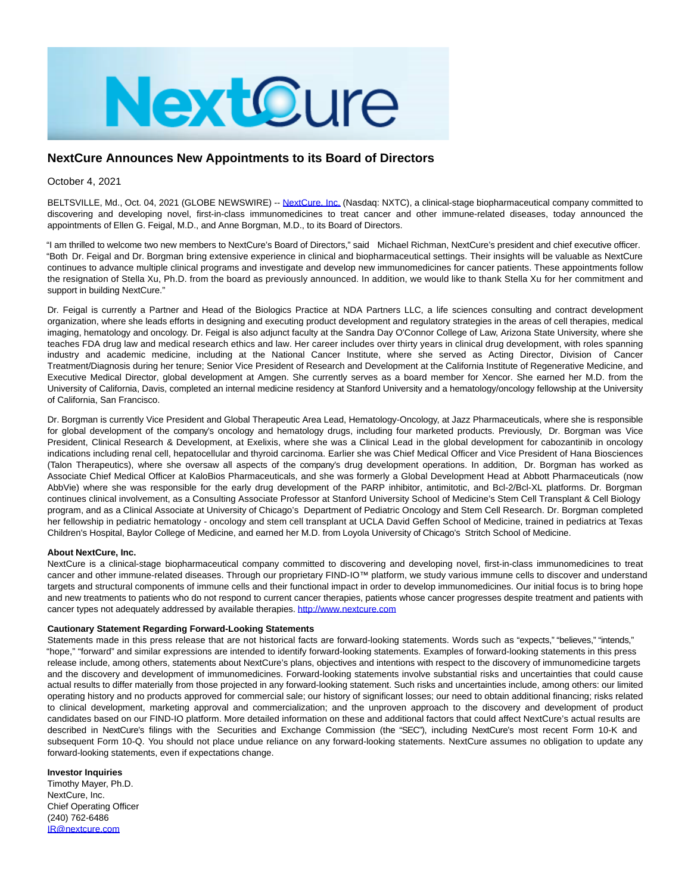

## **NextCure Announces New Appointments to its Board of Directors**

October 4, 2021

BELTSVILLE, Md., Oct. 04, 2021 (GLOBE NEWSWIRE) -- [NextCure, Inc. \(](https://www.globenewswire.com/Tracker?data=eZUiwkSOOFI9481PX8wSmB8ThqhD4w8EC3JbJW2AYSSBfL49GbRFded_zEngnnpU8fhRnpB4xBB_YJ-WNZTJoA==)Nasdaq: NXTC), a clinical-stage biopharmaceutical company committed to discovering and developing novel, first-in-class immunomedicines to treat cancer and other immune-related diseases, today announced the appointments of Ellen G. Feigal, M.D., and Anne Borgman, M.D., to its Board of Directors.

"I am thrilled to welcome two new members to NextCure's Board of Directors," said Michael Richman, NextCure's president and chief executive officer. "Both Dr. Feigal and Dr. Borgman bring extensive experience in clinical and biopharmaceutical settings. Their insights will be valuable as NextCure continues to advance multiple clinical programs and investigate and develop new immunomedicines for cancer patients. These appointments follow the resignation of Stella Xu, Ph.D. from the board as previously announced. In addition, we would like to thank Stella Xu for her commitment and support in building NextCure."

Dr. Feigal is currently a Partner and Head of the Biologics Practice at NDA Partners LLC, a life sciences consulting and contract development organization, where she leads efforts in designing and executing product development and regulatory strategies in the areas of cell therapies, medical imaging, hematology and oncology. Dr. Feigal is also adjunct faculty at the Sandra Day O'Connor College of Law, Arizona State University, where she teaches FDA drug law and medical research ethics and law. Her career includes over thirty years in clinical drug development, with roles spanning industry and academic medicine, including at the National Cancer Institute, where she served as Acting Director, Division of Cancer Treatment/Diagnosis during her tenure; Senior Vice President of Research and Development at the California Institute of Regenerative Medicine, and Executive Medical Director, global development at Amgen. She currently serves as a board member for Xencor. She earned her M.D. from the University of California, Davis, completed an internal medicine residency at Stanford University and a hematology/oncology fellowship at the University of California, San Francisco.

Dr. Borgman is currently Vice President and Global Therapeutic Area Lead, Hematology-Oncology, at Jazz Pharmaceuticals, where she is responsible for global development of the company's oncology and hematology drugs, including four marketed products. Previously, Dr. Borgman was Vice President, Clinical Research & Development, at Exelixis, where she was a Clinical Lead in the global development for cabozantinib in oncology indications including renal cell, hepatocellular and thyroid carcinoma. Earlier she was Chief Medical Officer and Vice President of Hana Biosciences (Talon Therapeutics), where she oversaw all aspects of the company's drug development operations. In addition, Dr. Borgman has worked as Associate Chief Medical Officer at KaloBios Pharmaceuticals, and she was formerly a Global Development Head at Abbott Pharmaceuticals (now AbbVie) where she was responsible for the early drug development of the PARP inhibitor, antimitotic, and Bcl-2/Bcl-XL platforms. Dr. Borgman continues clinical involvement, as a Consulting Associate Professor at Stanford University School of Medicine's Stem Cell Transplant & Cell Biology program, and as a Clinical Associate at University of Chicago's Department of Pediatric Oncology and Stem Cell Research. Dr. Borgman completed her fellowship in pediatric hematology - oncology and stem cell transplant at UCLA David Geffen School of Medicine, trained in pediatrics at Texas Children's Hospital, Baylor College of Medicine, and earned her M.D. from Loyola University of Chicago's Stritch School of Medicine.

## **About NextCure, Inc.**

NextCure is a clinical-stage biopharmaceutical company committed to discovering and developing novel, first-in-class immunomedicines to treat cancer and other immune-related diseases. Through our proprietary FIND-IO™ platform, we study various immune cells to discover and understand targets and structural components of immune cells and their functional impact in order to develop immunomedicines. Our initial focus is to bring hope and new treatments to patients who do not respond to current cancer therapies, patients whose cancer progresses despite treatment and patients with cancer types not adequately addressed by available therapies. [http://www.nextcure.com](https://www.globenewswire.com/Tracker?data=umD2QKa72PzM1_DSDrDNU6U03tMW0ZYX12YOLHNNDswJ50gHfLiQ26TJ5nQP4tddtGETAGax9McxJpiXSPiXtZt_mVcQ4PwRUK2i0x_BId4=)

## **Cautionary Statement Regarding Forward-Looking Statements**

Statements made in this press release that are not historical facts are forward-looking statements. Words such as "expects," "believes," "intends," "hope," "forward" and similar expressions are intended to identify forward-looking statements. Examples of forward-looking statements in this press release include, among others, statements about NextCure's plans, objectives and intentions with respect to the discovery of immunomedicine targets and the discovery and development of immunomedicines. Forward-looking statements involve substantial risks and uncertainties that could cause actual results to differ materially from those projected in any forward-looking statement. Such risks and uncertainties include, among others: our limited operating history and no products approved for commercial sale; our history of significant losses; our need to obtain additional financing; risks related to clinical development, marketing approval and commercialization; and the unproven approach to the discovery and development of product candidates based on our FIND-IO platform. More detailed information on these and additional factors that could affect NextCure's actual results are described in NextCure's filings with the Securities and Exchange Commission (the "SEC"), including NextCure's most recent Form 10-K and subsequent Form 10-Q. You should not place undue reliance on any forward-looking statements. NextCure assumes no obligation to update any forward-looking statements, even if expectations change.

## **Investor Inquiries**

Timothy Mayer, Ph.D. NextCure, Inc. Chief Operating Officer (240) 762-6486 [IR@nextcure.com](https://www.globenewswire.com/Tracker?data=2o9YYxBXw4un8ITiSDdn3yVqCtmIoBH417xW4_3IOXDEXrY0RH1qfwhc3E3RkG4DVkVS0MZDNULQPHYtOyoccw==)